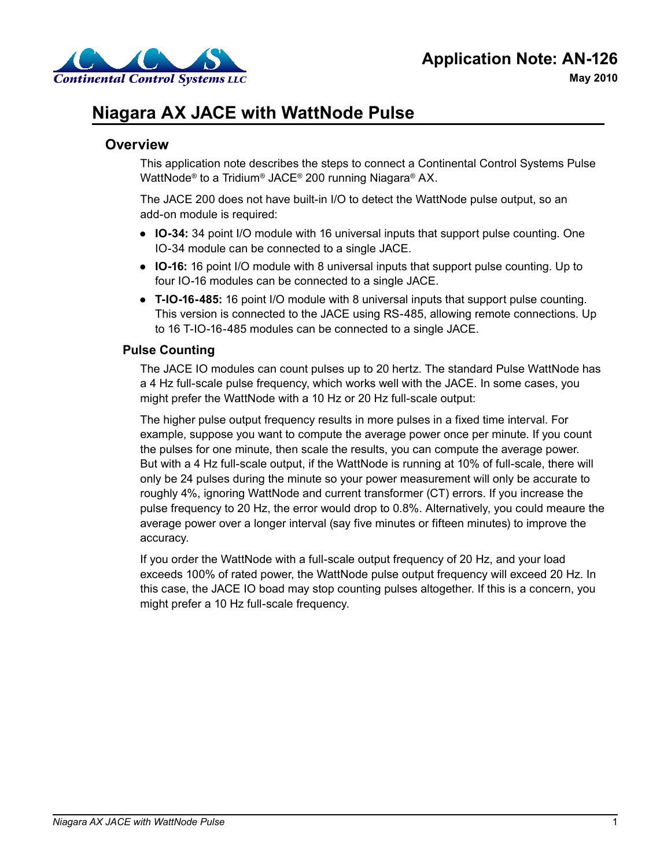

# **Niagara AX JACE with WattNode Pulse**

### **Overview**

This application note describes the steps to connect a Continental Control Systems Pulse WattNode® to a Tridium® JACE® 200 running Niagara® AX.

The JACE 200 does not have built-in I/O to detect the WattNode pulse output, so an add-on module is required:

- **IO-34:** 34 point I/O module with 16 universal inputs that support pulse counting. One IO-34 module can be connected to a single JACE.
- **IO-16:** 16 point I/O module with 8 universal inputs that support pulse counting. Up to four IO-16 modules can be connected to a single JACE.
- **T-IO-16-485:** 16 point I/O module with 8 universal inputs that support pulse counting. This version is connected to the JACE using RS-485, allowing remote connections. Up to 16 T-IO-16-485 modules can be connected to a single JACE.

#### **Pulse Counting**

The JACE IO modules can count pulses up to 20 hertz. The standard Pulse WattNode has a 4 Hz full-scale pulse frequency, which works well with the JACE. In some cases, you might prefer the WattNode with a 10 Hz or 20 Hz full-scale output:

The higher pulse output frequency results in more pulses in a fixed time interval. For example, suppose you want to compute the average power once per minute. If you count the pulses for one minute, then scale the results, you can compute the average power. But with a 4 Hz full-scale output, if the WattNode is running at 10% of full-scale, there will only be 24 pulses during the minute so your power measurement will only be accurate to roughly 4%, ignoring WattNode and current transformer (CT) errors. If you increase the pulse frequency to 20 Hz, the error would drop to 0.8%. Alternatively, you could meaure the average power over a longer interval (say five minutes or fifteen minutes) to improve the accuracy.

If you order the WattNode with a full-scale output frequency of 20 Hz, and your load exceeds 100% of rated power, the WattNode pulse output frequency will exceed 20 Hz. In this case, the JACE IO boad may stop counting pulses altogether. If this is a concern, you might prefer a 10 Hz full-scale frequency.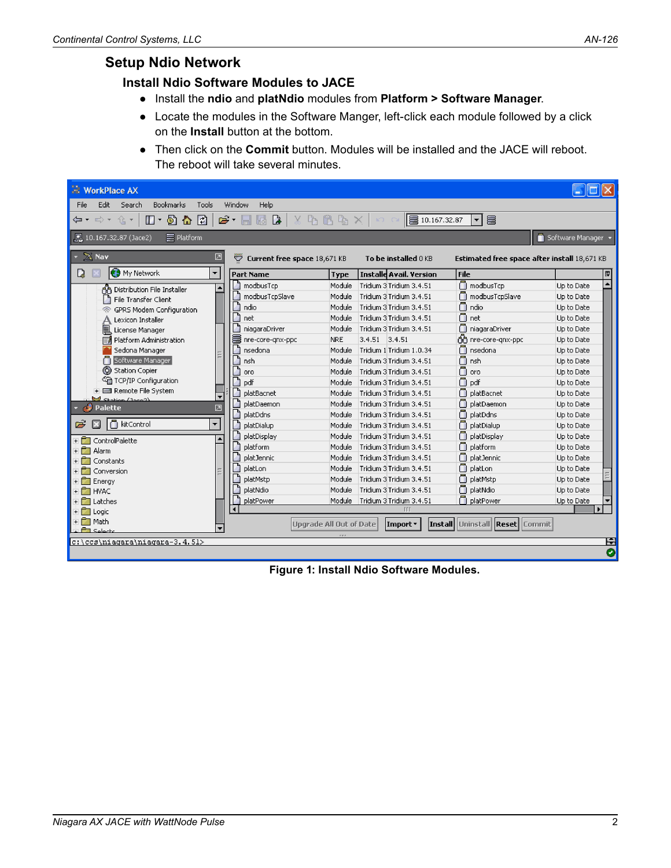## **Setup Ndio Network**

#### **Install Ndio Software Modules to JACE**

- Install the **ndio** and **platNdio** modules from **Platform > Software Manager**.
- Locate the modules in the Software Manger, left-click each module followed by a click on the **Install** button at the bottom.
- Then click on the **Commit** button. Modules will be installed and the JACE will reboot. The reboot will take several minutes.

| <b>WorkPlace AX</b>                                                    |                                                               |                                 |                                |                                              |            |  |  |
|------------------------------------------------------------------------|---------------------------------------------------------------|---------------------------------|--------------------------------|----------------------------------------------|------------|--|--|
| Edit.<br>File<br>Search<br><b>Bookmarks</b><br>Tools                   | Window<br>Help                                                |                                 |                                |                                              |            |  |  |
| $\Box$ + $\Box$ & $\Box$<br>仓,<br>⇔ <del>→</del> →                     | $\mathbf{c}$ . $\blacksquare$<br>$\boxtimes$ $\triangleright$ | $X$ b c b $\&$ $\times$ $\vert$ | 10.167.32.87<br><b>KO CX</b>   | e<br>$\vert \cdot \vert$                     |            |  |  |
| Software Manager<br>$\equiv$ Platform<br><b>Q</b> 10.167.32.87 (Jace2) |                                                               |                                 |                                |                                              |            |  |  |
| $\times$ Nav<br>团                                                      | ₩<br>Current free space 18,671 KB                             |                                 | To be installed 0 KB           | Estimated free space after install 18,671 KB |            |  |  |
| ÷<br>D.<br><b>C3</b> My Network                                        | <b>Part Name</b>                                              | Type                            | <b>Installe Avail. Version</b> | File                                         | 問          |  |  |
| A Distribution File Installer<br>۰                                     | modbusTcp                                                     | Module                          | Tridium 3 Tridium 3.4.51       | modbusTcp                                    | Up to Date |  |  |
| a<br>File Transfer Client                                              | modbusTcpSlave                                                | Module                          | Tridium 3 Tridium 3.4.51       | modbusTcpSlave                               | Up to Date |  |  |
| <b>GPRS Modem Configuration</b><br>B.                                  | ndio                                                          | Module                          | Tridium 3 Tridium 3.4.51       | Ō<br>ndio                                    | Up to Date |  |  |
| Lexicon Installer                                                      | net                                                           | Module                          | Tridium 3 Tridium 3.4.51       | Ō<br>net                                     | Up to Date |  |  |
| 凬<br>License Manager                                                   | niagaraDriver                                                 | Module                          | Tridium 3 Tridium 3.4.51       | n<br>niagaraDriver                           | Up to Date |  |  |
| Platform Administration<br>EИ                                          | nre-core-gnx-ppc                                              | <b>NRE</b>                      | $3.4.51$ 3.4.51                | nne-core-gnx-ppc                             | Up to Date |  |  |
| Sedona Manager                                                         | А<br>nsedona                                                  | Module                          | Tridium 1 Tridium 1.0.34       | Ω<br>nsedona                                 | Up to Date |  |  |
| Software Manager                                                       | nsh                                                           | Module                          | Tridium 3 Tridium 3.4.51       | Ω<br>nsh                                     | Up to Date |  |  |
| (C) Station Copier                                                     | oro                                                           | Module                          | Tridium 3 Tridium 3.4.51       | Ω<br>oro                                     | Up to Date |  |  |
| <sup>《</sup> TCP/IP Configuration                                      | pdf                                                           | Module                          | Tridium 3 Tridium 3.4.51       | Ō<br>pdf                                     | Up to Date |  |  |
| Remote File System<br>$\mathbb{R}$ chation (Incor)                     | platBacnet                                                    | Module                          | Tridium 3 Tridium 3.4.51       | Ω<br>platBacnet                              | Up to Date |  |  |
| <b>Palette</b><br>☑<br>κJ                                              | platDaemon                                                    | Module                          | Tridium 3 Tridium 3.4.51       | n<br>platDaemon                              | Up to Date |  |  |
|                                                                        | platDdns                                                      | Module                          | Tridium 3 Tridium 3.4.51       | Π<br>platDdns                                | Up to Date |  |  |
| ÷<br>ė<br>n kitControl<br>Β                                            | platDialup                                                    | Module                          | Tridium 3 Tridium 3.4.51       | Ω<br>platDialup                              | Up to Date |  |  |
| ControlPalette                                                         | platDisplay                                                   | Module                          | Tridium 3 Tridium 3.4.51       | n<br>platDisplay                             | Up to Date |  |  |
| Alarm<br>$+$                                                           | platform                                                      | Module                          | Tridium 3 Tridium 3.4.51       | Ω<br>platform                                | Up to Date |  |  |
| Constants<br>$+$                                                       | platJennic                                                    | Module                          | Tridium 3 Tridium 3.4.51       | platJennic                                   | Up to Date |  |  |
| Conversion                                                             | platLon                                                       | Module                          | Tridium 3 Tridium 3.4.51       | Ō<br>platLon                                 | Up to Date |  |  |
| <b>T</b> Energy                                                        | platMstp                                                      | Module                          | Tridium 3 Tridium 3.4.51       | ∩<br>platMstp                                | Up to Date |  |  |
| + CT HVAC                                                              | platNdio                                                      | Module                          | Tridium 3 Tridium 3.4.51       | Ω<br>platNdio                                | Up to Date |  |  |
| + <sup>1</sup> Latches                                                 | platPower                                                     | Module                          | Tridium 3 Tridium 3.4.51       | platPower                                    | Up to Date |  |  |
| $\overline{+}$ $\overline{-}$ Logic                                    |                                                               |                                 | <b>TTT</b>                     |                                              |            |  |  |
| + <sup>P</sup> T Math                                                  |                                                               | <b>Upgrade All Out of Date</b>  | Import *                       | <b>Install Uninstall Reset Commit</b>        |            |  |  |
| <b>PT</b> Selects                                                      |                                                               |                                 |                                |                                              |            |  |  |
| c:\ccs\niagara\niagara-3.4.51>                                         |                                                               |                                 |                                |                                              | E          |  |  |
|                                                                        |                                                               |                                 |                                |                                              | Ø          |  |  |

**Figure 1: Install Ndio Software Modules.**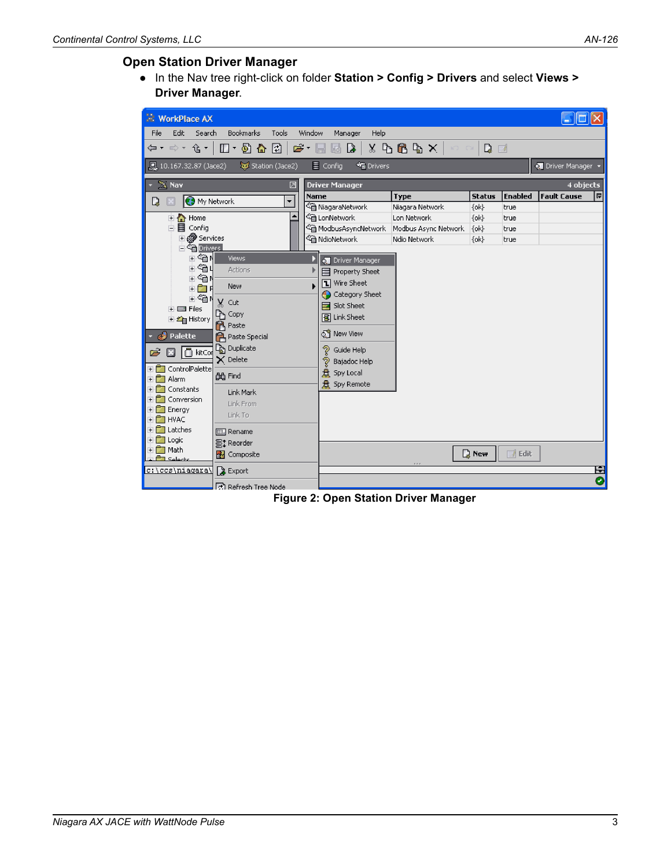#### **Open Station Driver Manager**

● In the Nav tree right-click on folder **Station > Config > Drivers** and select **Views > Driver Manager**.

| <b>WorkPlace AX</b>                                                                              |                                                                                                                              |                                         |                      |               |                |                         |   |  |
|--------------------------------------------------------------------------------------------------|------------------------------------------------------------------------------------------------------------------------------|-----------------------------------------|----------------------|---------------|----------------|-------------------------|---|--|
|                                                                                                  |                                                                                                                              |                                         |                      |               |                |                         |   |  |
| Edit<br>Search<br><b>File</b>                                                                    | <b>Bookmarks</b><br>Tools                                                                                                    | Window<br>Help<br>Manager               |                      |               |                |                         |   |  |
| ⇔ ← ⇒ ←                                                                                          | € ▼  <br>$\mathbb{D} \cdot \mathbb{D}$ and<br>⊡<br>$8$ P B P $\times$ $ $<br>습 -<br>D<br>Q<br>f<br><b>KO CH</b><br>- EN<br>H |                                         |                      |               |                |                         |   |  |
| 黑 10.167.32.87 (Jace2)                                                                           | Station (Jace2)                                                                                                              | $\equiv$ Config<br><sup>*</sup> Drivers |                      |               |                | <b>O</b> Driver Manager |   |  |
| $\mathbb{Z}$ Nav                                                                                 | ☑                                                                                                                            | <b>Driver Manager</b>                   |                      |               |                | 4 objects               |   |  |
| <b>O</b> My Network<br>Q                                                                         | ÷                                                                                                                            | Name                                    | <b>Type</b>          | <b>Status</b> | <b>Enabled</b> | <b>Fault Cause</b>      | 厚 |  |
|                                                                                                  |                                                                                                                              | <sup>《</sup> NiagaraNetwork             | Niagara Network      | $\{ok\}$      | true           |                         |   |  |
| 日 n Home                                                                                         |                                                                                                                              | <sup>©</sup> ina LonNetwork             | Lon Network          | $\{ok\}$      | true           |                         |   |  |
| 白目 Config                                                                                        |                                                                                                                              | <sup>€</sup> ModbusAsyncNetwork         | Modbus Async Network | $\{ok\}$      | true           |                         |   |  |
| <b>⊞ @ Services</b>                                                                              |                                                                                                                              | <sup>@</sup> NdioNetwork                | Ndio Network         | $\{ok\}$      | true           |                         |   |  |
| <b>El <sup>C</sup>m</b> Drivers                                                                  |                                                                                                                              |                                         |                      |               |                |                         |   |  |
| ∔‰n<br>≞ு∩ப                                                                                      | <b>Views</b>                                                                                                                 | <b>O</b> Driver Manager                 |                      |               |                |                         |   |  |
| ≐‰n                                                                                              | <b>Actions</b>                                                                                                               | 目 Property Sheet                        |                      |               |                |                         |   |  |
| 重面目                                                                                              | New                                                                                                                          | <b>T</b> Wire Sheet                     |                      |               |                |                         |   |  |
| ≐ <a≀< td=""><td></td><td>Category Sheet</td><td></td><td></td><td></td><td></td><td></td></a≀<> |                                                                                                                              | Category Sheet                          |                      |               |                |                         |   |  |
| <b>i- El Files</b>                                                                               | Cut                                                                                                                          | Slot Sheet                              |                      |               |                |                         |   |  |
| 田 合 History                                                                                      | Цу Сору                                                                                                                      | <b>团 Link Sheet</b>                     |                      |               |                |                         |   |  |
|                                                                                                  | <b>R</b> Paste                                                                                                               |                                         |                      |               |                |                         |   |  |
| Palette<br>ائی                                                                                   | <b>P</b> Paste Special                                                                                                       | ହିଁ New View                            |                      |               |                |                         |   |  |
| $\Box$ kitCor<br>É                                                                               | La Duplicate                                                                                                                 | Guide Help<br>?                         |                      |               |                |                         |   |  |
|                                                                                                  | $\times$ Delete                                                                                                              | P<br>Bajadoc Help                       |                      |               |                |                         |   |  |
| ControlPalette<br>$+$                                                                            | dig Find                                                                                                                     | 盘 Spy Local                             |                      |               |                |                         |   |  |
| Alarm<br>$\blacksquare$                                                                          |                                                                                                                              | <b>点</b> Spy Remote                     |                      |               |                |                         |   |  |
| Constants<br>$+$                                                                                 | Link Mark                                                                                                                    |                                         |                      |               |                |                         |   |  |
| Conversion<br>$+$<br>Energy                                                                      | Link From                                                                                                                    |                                         |                      |               |                |                         |   |  |
| $+$<br>T HVAC<br>$+$                                                                             | Link To                                                                                                                      |                                         |                      |               |                |                         |   |  |
| Latches<br>$+$                                                                                   | 图 Rename                                                                                                                     |                                         |                      |               |                |                         |   |  |
| Logic<br>$\pm$                                                                                   |                                                                                                                              |                                         |                      |               |                |                         |   |  |
| + <del>∩</del> Math                                                                              | 量: Reorder                                                                                                                   |                                         |                      | <b>Q</b> New  | $\Box$ Edit    |                         |   |  |
| a <b>Ca</b> Selecto                                                                              | <b>A</b> Composite                                                                                                           |                                         |                      |               |                |                         |   |  |
| c:\ccs\niagara\                                                                                  | <b>B</b> Export                                                                                                              |                                         |                      |               |                |                         | 囯 |  |
|                                                                                                  | ්ඨ Refresh Tree Node                                                                                                         |                                         |                      |               |                |                         | O |  |

**Figure 2: Open Station Driver Manager**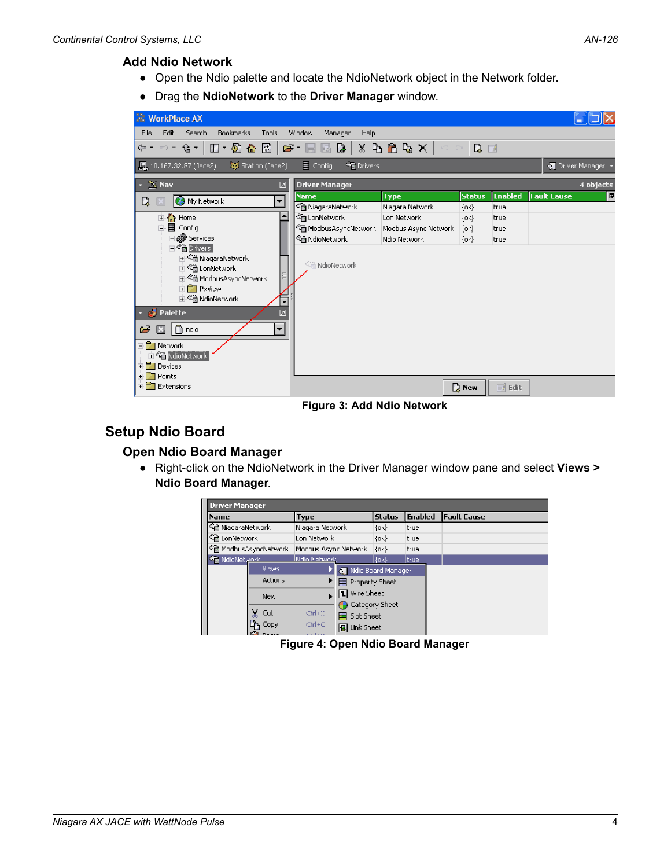#### **Add Ndio Network**

- Open the Ndio palette and locate the NdioNetwork object in the Network folder.
- Drag the **NdioNetwork** to the **Driver Manager** window.

| <b>WorkPlace AX</b>                                                                                                                                                                                                                                                                                           |                                                                                                           |                      |                     |             | and i              |   |  |  |
|---------------------------------------------------------------------------------------------------------------------------------------------------------------------------------------------------------------------------------------------------------------------------------------------------------------|-----------------------------------------------------------------------------------------------------------|----------------------|---------------------|-------------|--------------------|---|--|--|
| File<br>Edit<br>Search<br><b>Bookmarks</b><br>Tools                                                                                                                                                                                                                                                           | Window<br>Manager<br>Help                                                                                 |                      |                     |             |                    |   |  |  |
| ⇦▾ ⇨▾ ⇪▾│                                                                                                                                                                                                                                                                                                     | $\Pi$ * 5 ^ 8 $\Xi$ $\approx$ * 5 $\Xi$ b $\Lambda$ $\times$ 6 $\Xi$ b $\times$ $\sim$ $\sim$ 1<br>$\Box$ |                      |                     |             |                    |   |  |  |
| <b>■</b> 10.167.32.87 (Jace2)<br>Station (Jace2)                                                                                                                                                                                                                                                              | $\equiv$ Config<br><b>SE</b> Drivers                                                                      |                      |                     |             | O Driver Manager   |   |  |  |
| $\mathbb{X}$ Nav<br>図<br>$\mathbf{v}$                                                                                                                                                                                                                                                                         | <b>Driver Manager</b>                                                                                     |                      |                     |             | 4 objects          |   |  |  |
| <b>C.</b> My Network<br>D.<br>$\overline{\phantom{a}}$                                                                                                                                                                                                                                                        | <b>Name</b>                                                                                               | <b>Type</b>          | <b>Status</b>       | Enabled     | <b>Fault Cause</b> | 潭 |  |  |
|                                                                                                                                                                                                                                                                                                               | <sup>全</sup> 面 NiagaraNetwork                                                                             | Niagara Network      | $\{ \mathsf{ok} \}$ | Itrue       |                    |   |  |  |
| ۸<br><b>E</b> A Home                                                                                                                                                                                                                                                                                          | <sup>€</sup> तो LonNetwork                                                                                | Lon Network          | $\{ok\}$            | true        |                    |   |  |  |
| 白目 Config                                                                                                                                                                                                                                                                                                     | લ્ଲ ModbusAsyncNetwork                                                                                    | Modbus Async Network | $\{ \mathsf{ok} \}$ | true        |                    |   |  |  |
| <b>⊞ @</b> Services                                                                                                                                                                                                                                                                                           | <sup>@</sup> NdioNetwork                                                                                  | Ndio Network         | $\{ok\}$            | true        |                    |   |  |  |
| <b>E</b> <sup>C</sup> <sub>E</sub> Drivers<br>由 @ NiagaraNetwork<br>由 <sup>全</sup> 通 LonNetwork<br>由 @ ModbusAsyncNetwork<br>E <b>PxView</b><br>由 < MaioNetwork<br>÷<br>$\cdot$ $\bullet$ Palette<br>⊠<br>$\Box$ ndio<br>G<br>÷<br>⊟ network<br><mark>⊞ <sup>⊘</sup>ते</mark> NdioNetwork<br><b>E</b> Devices | <sup>C</sup> a NdioNetwork                                                                                |                      |                     |             |                    |   |  |  |
| + Points                                                                                                                                                                                                                                                                                                      |                                                                                                           |                      |                     |             |                    |   |  |  |
| Extensions                                                                                                                                                                                                                                                                                                    |                                                                                                           |                      | D New               | $\Box$ Edit |                    |   |  |  |

**Figure 3: Add Ndio Network**

# **Setup Ndio Board**

#### **Open Ndio Board Manager**

● Right-click on the NdioNetwork in the Driver Manager window pane and select **Views > Ndio Board Manager**.

| <b>Driver Manager</b>     |                                            |                   |                                  |                |                    |  |  |
|---------------------------|--------------------------------------------|-------------------|----------------------------------|----------------|--------------------|--|--|
| Type<br>Name              |                                            |                   | <b>Status</b>                    | <b>Enabled</b> | <b>Fault Cause</b> |  |  |
| ं NiagaraNetwork          |                                            | Niagara Network   |                                  | $\{ok\}$       | true               |  |  |
| <sup>全</sup> 通 LonNetwork |                                            | Lon Network       |                                  | $\{ok\}$       | true               |  |  |
|                           | < a ModbusAsyncNetwork                     |                   | $\{ok\}$<br>Modbus Async Network |                | true               |  |  |
| <b>Milk</b> NdioNetwork   |                                            | Mdio Nehwork      |                                  | ${6k}$         | true               |  |  |
|                           | <b>Views</b>                               |                   | o Ndio Board Manager             |                |                    |  |  |
|                           | <b>Actions</b>                             |                   |                                  | Property Sheet |                    |  |  |
|                           | <b>New</b>                                 |                   | Wire Sheet<br>ы                  |                |                    |  |  |
|                           |                                            |                   |                                  | Category Sheet |                    |  |  |
|                           | ¥.<br>Cut                                  | $C\text{tr}I + X$ | Slot Sheet                       |                |                    |  |  |
|                           | Copy                                       | Ctrl+C            | Link Sheet<br>E                  |                |                    |  |  |
|                           | <b>Contract Contract Contract Contract</b> |                   |                                  |                |                    |  |  |

**Figure 4: Open Ndio Board Manager**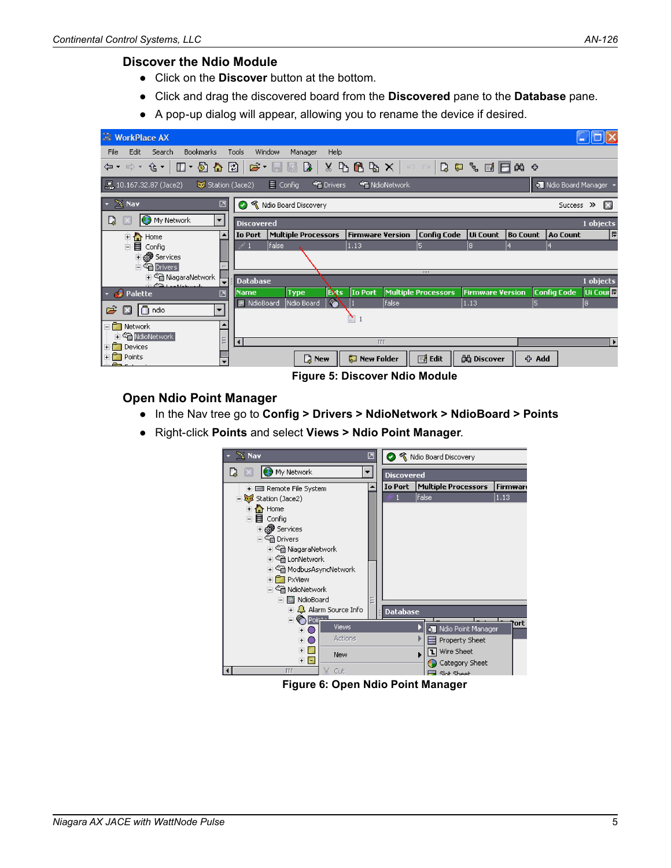#### **Discover the Ndio Module**

- Click on the **Discover** button at the bottom.
- Click and drag the discovered board from the **Discovered** pane to the **Database** pane.
- A pop-up dialog will appear, allowing you to rename the device if desired.

| <b>NorkPlace AX</b>                                      |                                                                                                      |                                    |                    |                     |                         |                     |                      |                       |
|----------------------------------------------------------|------------------------------------------------------------------------------------------------------|------------------------------------|--------------------|---------------------|-------------------------|---------------------|----------------------|-----------------------|
| <b>Bookmarks</b><br>File<br>Edit<br>Search               | Tools<br>Window                                                                                      | Help<br>Manager                    |                    |                     |                         |                     |                      |                       |
|                                                          | ←· ← · ←   0 · 5 ^ 8 0   ع · 8 8 } × 6 6 % ×   ← ← 0 0 € + 8 8 6 ± + + + + + + + + + + + + + + + + + |                                    |                    |                     |                         |                     |                      |                       |
| …… 10.167.32.87 (Jace2)<br>$\frac{1}{2}$ Station (Jace2) | $\equiv$ Config                                                                                      | $\frac{1}{2}$ Drivers              | <b>NdioNetwork</b> |                     |                         |                     | o Ndio Board Manager |                       |
| $\sim$ $\mathbb{Z}$ Nav<br>☑                             | Ø                                                                                                    | <b>K</b> Ndio Board Discovery      |                    |                     |                         |                     | Success >>           | B                     |
| My Network<br>D<br>$\overline{\mathbf{v}}$               | <b>Discovered</b>                                                                                    |                                    |                    |                     |                         |                     |                      | 1 objects             |
| ٠<br>中 ome                                               |                                                                                                      | <b>Io Port</b> Multiple Processors | Firmware Version   | <b>Config Code</b>  | Ui Count                | Bo Count   Ao Count |                      | I₹                    |
| □■ Config                                                | false                                                                                                |                                    | 1.13               | 5                   | R                       |                     | 4                    |                       |
| <b>Ei @ Services</b>                                     |                                                                                                      |                                    |                    |                     |                         |                     |                      |                       |
| <b>El En Drivers</b><br>中心 NiagaraNetwork                |                                                                                                      |                                    |                    | <b>P.P.P.</b>       |                         |                     |                      |                       |
| ∓<br>PD Low Mahmmade                                     | Database                                                                                             |                                    |                    |                     |                         |                     |                      | 1 objects             |
| $\frac{1}{2}$ Palette<br>♬                               | <b>Name</b>                                                                                          | <b>Exts</b><br><b>Type</b>         | <b>Io Port</b>     | Multiple Processors | <b>Firmware Version</b> |                     | <b>Config Code</b>   | Ui Cour <sup>e</sup>  |
| $\overline{\phantom{0}}$                                 | Mill NdioBoard                                                                                       | V.<br>Ndio Board                   | false              |                     | 1.13                    | 5                   |                      | 18.                   |
| $\Box$ ndio<br>C)<br>囩                                   |                                                                                                      |                                    | Ñ                  |                     |                         |                     |                      |                       |
| ۸<br>⊟ network                                           |                                                                                                      |                                    |                    |                     |                         |                     |                      |                       |
| 由 Gin NdioNetwork<br>Ξ                                   | $\left  \cdot \right $                                                                               |                                    | TTT                |                     |                         |                     |                      | $\blacktriangleright$ |
| <b>E</b> Devices                                         |                                                                                                      |                                    |                    |                     |                         |                     |                      |                       |
| + Points<br>$\overline{\phantom{0}}$                     |                                                                                                      | $\mathbb{D}$ New                   | New Folder         | 国 Edit              | <b>凸 Discover</b>       | <b>小 Add</b>        |                      |                       |

**Figure 5: Discover Ndio Module**

#### **Open Ndio Point Manager**

- In the Nav tree go to **Config > Drivers > NdioNetwork > NdioBoard > Points**
- Right-click **Points** and select **Views > Ndio Point Manager**.



**Figure 6: Open Ndio Point Manager**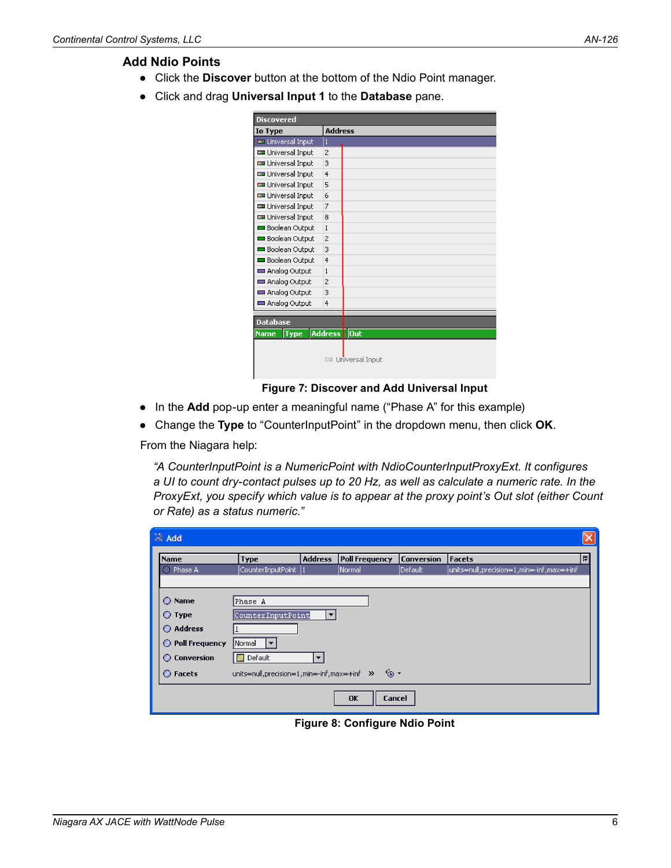#### **Add Ndio Points**

- Click the **Discover** button at the bottom of the Ndio Point manager.
- Click and drag **Universal Input 1** to the **Database** pane.

| <b>Discovered</b>          |                |                 |
|----------------------------|----------------|-----------------|
| <b>Io Type</b>             | <b>Address</b> |                 |
| Universal Input            | 1              |                 |
| Universal Input            | $\overline{2}$ |                 |
| Universal Input            | 3              |                 |
| Universal Input            | $\overline{4}$ |                 |
| Universal Input            | 5              |                 |
| Universal Input            | 6              |                 |
| Universal Input            | $\overline{z}$ |                 |
| Universal Input            | 8              |                 |
| <b>Boolean Output</b>      | $\mathbf{1}$   |                 |
| <b>Boolean Output</b>      | 2              |                 |
| <b>Boolean Output</b>      | 3              |                 |
| <b>Boolean Output</b>      | $\overline{4}$ |                 |
| Analog Output              | $\mathbf{1}$   |                 |
| Analog Output              | 2              |                 |
| Analog Output              | 3              |                 |
| Analog Output              | 4              |                 |
|                            |                |                 |
| <b>Database</b>            |                |                 |
| <b>Type</b><br><b>Name</b> | <b>Address</b> | Out             |
|                            |                |                 |
|                            |                | Universal Input |
|                            |                |                 |

**Figure 7: Discover and Add Universal Input**

- In the **Add** pop-up enter a meaningful name ("Phase A" for this example)
- Change the **Type** to "CounterInputPoint" in the dropdown menu, then click **OK**.

From the Niagara help:

*"A CounterInputPoint is a NumericPoint with NdioCounterInputProxyExt. It configures a UI to count dry-contact pulses up to 20 Hz, as well as calculate a numeric rate. In the ProxyExt, you specify which value is to appear at the proxy point's Out slot (either Count or Rate) as a status numeric."*

| $\mathbb{R}^n$ Add |                                             |                |                       |                   |                                          |   |
|--------------------|---------------------------------------------|----------------|-----------------------|-------------------|------------------------------------------|---|
| <b>Name</b>        | <b>Type</b>                                 | <b>Address</b> | <b>Poll Frequency</b> | <b>Conversion</b> | <b>Facets</b>                            | 即 |
| C Phase A          | CounterInputPoint                           |                | Normal                | Default           | units=null,precision=1,min=-inf,max=+inf |   |
|                    |                                             |                |                       |                   |                                          |   |
| C Name             | Phase A                                     |                |                       |                   |                                          |   |
| $\bigcirc$ Type    | CounterInputPoint<br>▼                      |                |                       |                   |                                          |   |
| Address            |                                             |                |                       |                   |                                          |   |
| O Poll Frequency   | Normal                                      |                |                       |                   |                                          |   |
| ◯ Conversion       | Default                                     | ÷              |                       |                   |                                          |   |
| ◯ Facets           | units=null,precision=1,min=-inf,max=+inf >> |                | '⊚ ∗                  |                   |                                          |   |
|                    |                                             |                | OK<br>Cancel          |                   |                                          |   |

**Figure 8: Configure Ndio Point**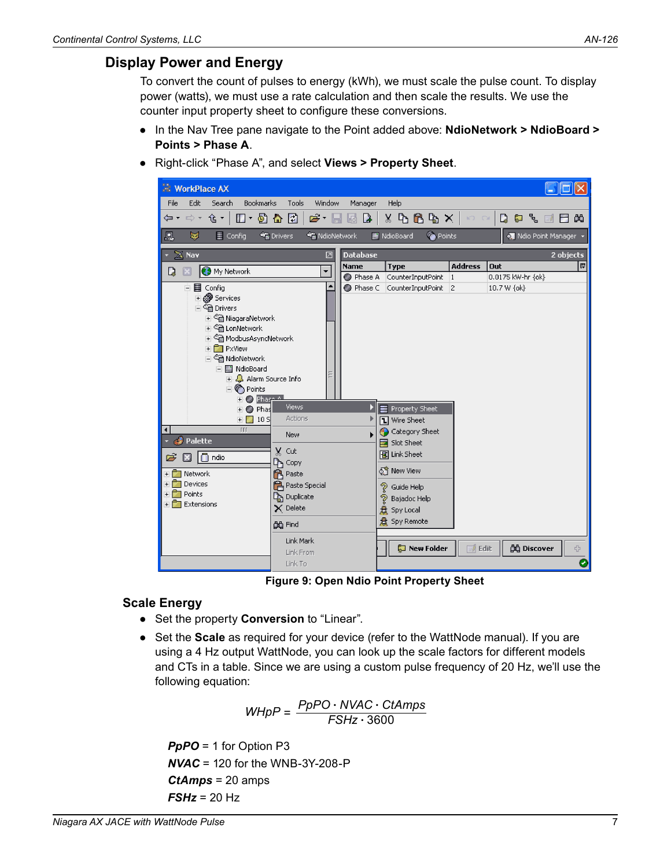### **Display Power and Energy**

To convert the count of pulses to energy (kWh), we must scale the pulse count. To display power (watts), we must use a rate calculation and then scale the results. We use the counter input property sheet to configure these conversions.

- In the Nav Tree pane navigate to the Point added above: **NdioNetwork > NdioBoard > Points > Phase A**.
- Right-click "Phase A", and select **Views > Property Sheet**.



**Figure 9: Open Ndio Point Property Sheet**

#### **Scale Energy**

- Set the property **Conversion** to "Linear".
- Set the **Scale** as required for your device (refer to the WattNode manual). If you are using a 4 Hz output WattNode, you can look up the scale factors for different models and CTs in a table. Since we are using a custom pulse frequency of 20 Hz, we'll use the following equation:

$$
WHpP = \frac{PpPO \cdot NVAC \cdot CtAmps}{FSHz \cdot 3600}
$$

*PpPO* = 1 for Option P3 *NVAC* = 120 for the WNB-3Y-208-P *CtAmps* = 20 amps *FSHz* = 20 Hz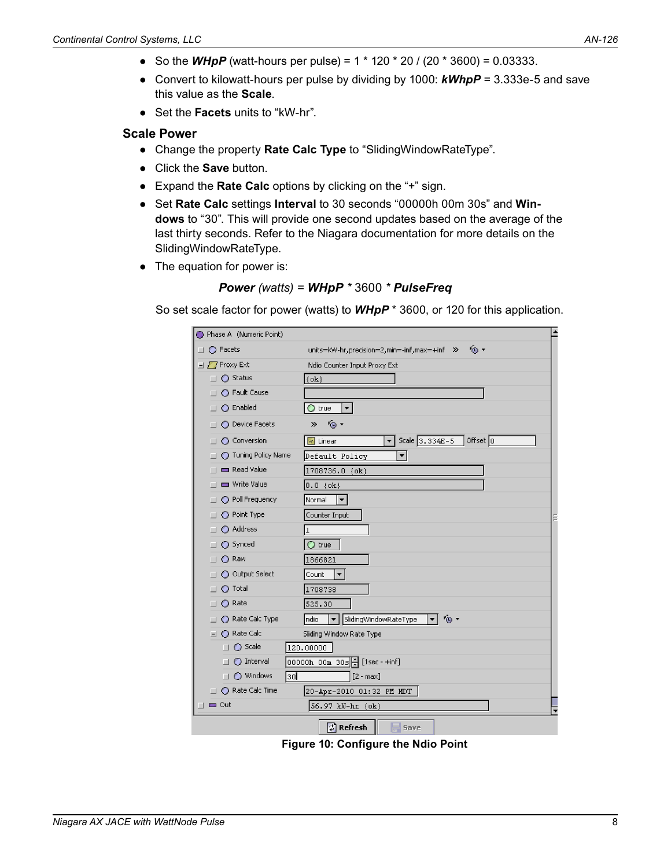- So the *WHpP* (watt-hours per pulse) =  $1 * 120 * 20 / (20 * 3600) = 0.03333$ .
- Convert to kilowatt-hours per pulse by dividing by 1000: *kWhpP* = 3.333e-5 and save this value as the **Scale**.
- Set the **Facets** units to "kW-hr".

#### **Scale Power**

- Change the property **Rate Calc Type** to "SlidingWindowRateType".
- Click the **Save** button.
- Expand the **Rate Calc** options by clicking on the "+" sign.
- Set **Rate Calc** settings **Interval** to 30 seconds "00000h 00m 30s" and **Windows** to "30". This will provide one second updates based on the average of the last thirty seconds. Refer to the Niagara documentation for more details on the SlidingWindowRateType.
- The equation for power is:

Power (watts) = 
$$
WHpP * 3600 * PulseFreq
$$

So set scale factor for power (watts) to *WHpP* \* 3600, or 120 for this application.

|                 | Phase A (Numeric Point)              |                                                                        | ۸ |
|-----------------|--------------------------------------|------------------------------------------------------------------------|---|
| <b>CONTRACT</b> | ◯ Facets                             | <sup>(</sup> ④ =<br>units=kW-hr,precision=2,min=-inf,max=+inf >>       |   |
|                 | $\exists$ / $\overline{I}$ Proxy Ext | Ndio Counter Input Proxy Ext                                           |   |
|                 | ◯ Status                             | $\{ \text{ok} \}$                                                      |   |
|                 | ◯ Fault Cause                        |                                                                        |   |
|                 | $\bigcirc$ Enabled                   | $\bigcirc$ true<br>▾                                                   |   |
|                 | <b>O</b> Device Facets               | ⊛ -<br>»                                                               |   |
|                 | ◯ Conversion<br>m                    | Scale $3.334E-5$<br>Offset 0<br>$\boxed{a}$ Linear<br>▼∣               |   |
|                 | Tuning Policy Name                   | Default Policy<br>▼∣                                                   |   |
|                 | Read Value<br>П                      | 1708736.0 {ok}                                                         |   |
|                 | Write Value                          | $0.0 \; \{\text{ok}\}\$                                                |   |
|                 | ◯ Poll Frequency<br>П                | $\blacktriangledown$<br>Normal                                         |   |
|                 | O Point Type<br><b>COL</b>           | Counter Input                                                          |   |
|                 | Address<br>ш                         | ı                                                                      |   |
|                 | ○ Synced                             | $\bigcirc$ true                                                        |   |
|                 | ◯ Raw<br>п                           | 1866821                                                                |   |
|                 | O Output Select                      | Count<br>▾∣                                                            |   |
|                 | $\bigcirc$ Total                     | 1708738                                                                |   |
|                 | ∩ Rate                               | 525.30                                                                 |   |
|                 | ◯ Rate Calc Type                     | ∕⊛ ∙<br>SlidingWindowRateType<br>ndio<br>$\overline{\phantom{a}}$<br>▼ |   |
|                 | ◯ Rate Calc<br>$-1$                  | Sliding Window Rate Type                                               |   |
|                 | ◯ Scale                              | 120.00000                                                              |   |
|                 | ◯ Interval                           | OOOOOh OOm 3Os  쉬[1sec-+inf]                                           |   |
|                 | ◯ Windows<br>l3ol<br>ш               | $[2 - max]$                                                            |   |
|                 | $\Box$ $\bigcirc$ Rate Calc Time     | 20-Apr-2010 01:32 PM MDT                                               |   |
|                 | $\blacksquare$ Out                   | 56.97 kW-hr {ok}                                                       |   |
|                 |                                      | ු Refresh<br>$\equiv$ Save                                             |   |

**Figure 10: Configure the Ndio Point**